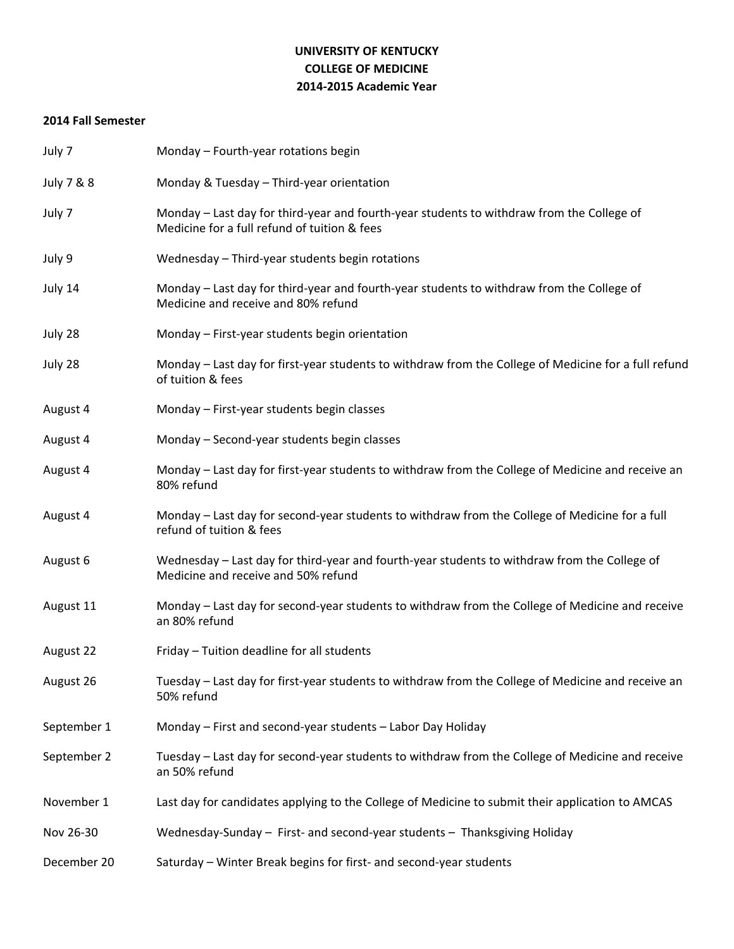# **UNIVERSITY OF KENTUCKY COLLEGE OF MEDICINE 2014-2015 Academic Year**

### **2014 Fall Semester**

| July 7      | Monday - Fourth-year rotations begin                                                                                                      |
|-------------|-------------------------------------------------------------------------------------------------------------------------------------------|
| July 7 & 8  | Monday & Tuesday - Third-year orientation                                                                                                 |
| July 7      | Monday - Last day for third-year and fourth-year students to withdraw from the College of<br>Medicine for a full refund of tuition & fees |
| July 9      | Wednesday - Third-year students begin rotations                                                                                           |
| July 14     | Monday – Last day for third-year and fourth-year students to withdraw from the College of<br>Medicine and receive and 80% refund          |
| July 28     | Monday - First-year students begin orientation                                                                                            |
| July 28     | Monday – Last day for first-year students to withdraw from the College of Medicine for a full refund<br>of tuition & fees                 |
| August 4    | Monday - First-year students begin classes                                                                                                |
| August 4    | Monday - Second-year students begin classes                                                                                               |
| August 4    | Monday - Last day for first-year students to withdraw from the College of Medicine and receive an<br>80% refund                           |
| August 4    | Monday – Last day for second-year students to withdraw from the College of Medicine for a full<br>refund of tuition & fees                |
| August 6    | Wednesday - Last day for third-year and fourth-year students to withdraw from the College of<br>Medicine and receive and 50% refund       |
| August 11   | Monday - Last day for second-year students to withdraw from the College of Medicine and receive<br>an 80% refund                          |
| August 22   | Friday - Tuition deadline for all students                                                                                                |
| August 26   | Tuesday - Last day for first-year students to withdraw from the College of Medicine and receive an<br>50% refund                          |
| September 1 | Monday - First and second-year students - Labor Day Holiday                                                                               |
| September 2 | Tuesday - Last day for second-year students to withdraw from the College of Medicine and receive<br>an 50% refund                         |
| November 1  | Last day for candidates applying to the College of Medicine to submit their application to AMCAS                                          |
| Nov 26-30   | Wednesday-Sunday - First- and second-year students - Thanksgiving Holiday                                                                 |
| December 20 | Saturday - Winter Break begins for first- and second-year students                                                                        |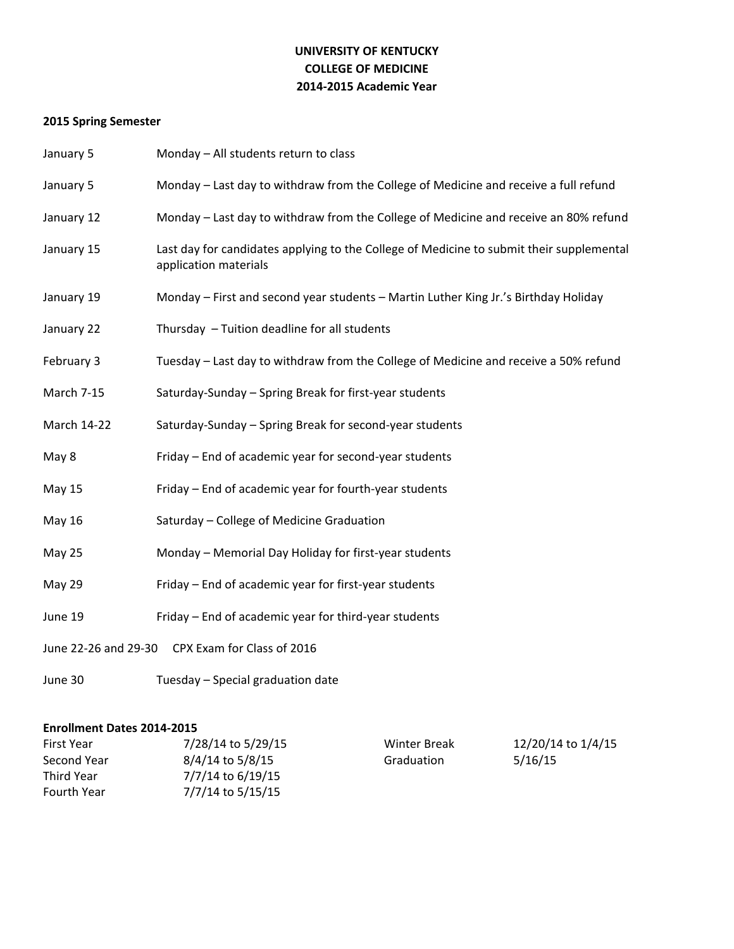# **UNIVERSITY OF KENTUCKY COLLEGE OF MEDICINE 2014-2015 Academic Year**

# **2015 Spring Semester**

| January 5                                       | Monday - All students return to class                                                                             |  |
|-------------------------------------------------|-------------------------------------------------------------------------------------------------------------------|--|
| January 5                                       | Monday - Last day to withdraw from the College of Medicine and receive a full refund                              |  |
| January 12                                      | Monday - Last day to withdraw from the College of Medicine and receive an 80% refund                              |  |
| January 15                                      | Last day for candidates applying to the College of Medicine to submit their supplemental<br>application materials |  |
| January 19                                      | Monday - First and second year students - Martin Luther King Jr.'s Birthday Holiday                               |  |
| January 22                                      | Thursday - Tuition deadline for all students                                                                      |  |
| February 3                                      | Tuesday - Last day to withdraw from the College of Medicine and receive a 50% refund                              |  |
| March 7-15                                      | Saturday-Sunday - Spring Break for first-year students                                                            |  |
| March 14-22                                     | Saturday-Sunday - Spring Break for second-year students                                                           |  |
| May 8                                           | Friday - End of academic year for second-year students                                                            |  |
| <b>May 15</b>                                   | Friday - End of academic year for fourth-year students                                                            |  |
| <b>May 16</b>                                   | Saturday - College of Medicine Graduation                                                                         |  |
| May 25                                          | Monday - Memorial Day Holiday for first-year students                                                             |  |
| <b>May 29</b>                                   | Friday - End of academic year for first-year students                                                             |  |
| June 19                                         | Friday - End of academic year for third-year students                                                             |  |
| June 22-26 and 29-30 CPX Exam for Class of 2016 |                                                                                                                   |  |
| June 30                                         | Tuesday - Special graduation date                                                                                 |  |

### **Enrollment Dates 2014-2015**

| <b>First Year</b> | 7/28/14 to 5/29/15 | <b>Winter Break</b> | 12/20/14 to 1/4/15 |
|-------------------|--------------------|---------------------|--------------------|
| Second Year       | 8/4/14 to 5/8/15   | Graduation          | 5/16/15            |
| Third Year        | 7/7/14 to 6/19/15  |                     |                    |
| Fourth Year       | 7/7/14 to 5/15/15  |                     |                    |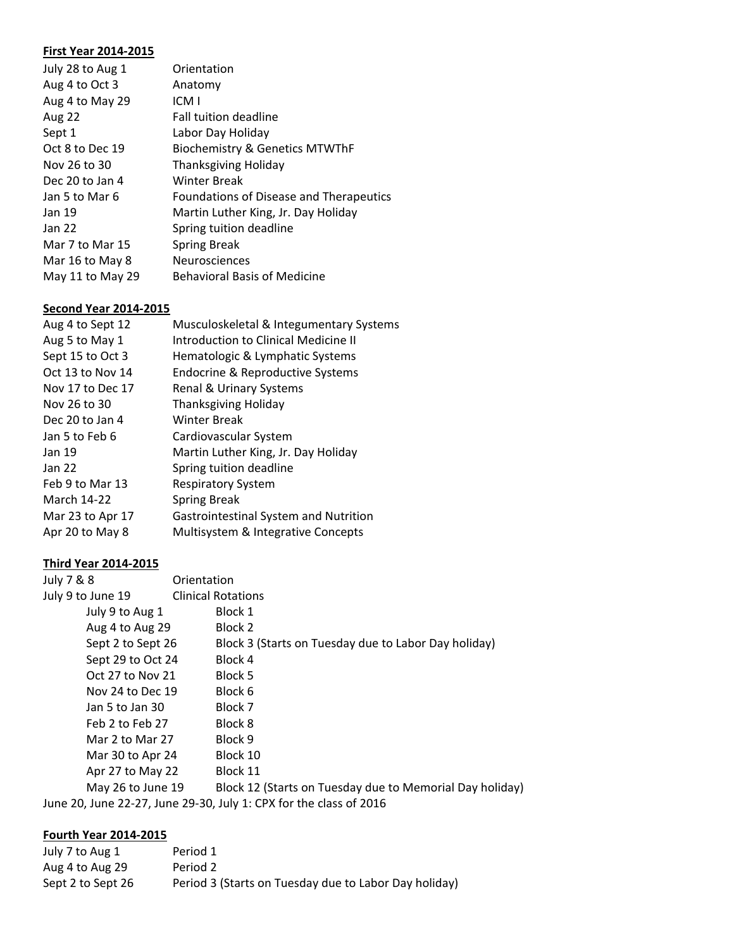### **First Year 2014-2015**

| July 28 to Aug 1 | Orientation                               |
|------------------|-------------------------------------------|
| Aug 4 to Oct 3   | Anatomy                                   |
| Aug 4 to May 29  | ICM I                                     |
| Aug 22           | <b>Fall tuition deadline</b>              |
| Sept 1           | Labor Day Holiday                         |
| Oct 8 to Dec 19  | <b>Biochemistry &amp; Genetics MTWThF</b> |
| Nov 26 to 30     | <b>Thanksgiving Holiday</b>               |
| Dec 20 to Jan 4  | <b>Winter Break</b>                       |
| Jan 5 to Mar 6   | Foundations of Disease and Therapeutics   |
| Jan 19           | Martin Luther King, Jr. Day Holiday       |
| Jan 22           | Spring tuition deadline                   |
| Mar 7 to Mar 15  | <b>Spring Break</b>                       |
| Mar 16 to May 8  | <b>Neurosciences</b>                      |
| May 11 to May 29 | <b>Behavioral Basis of Medicine</b>       |

### **Second Year 2014-2015**

| Aug 4 to Sept 12   | Musculoskeletal & Integumentary Systems     |
|--------------------|---------------------------------------------|
| Aug 5 to May 1     | <b>Introduction to Clinical Medicine II</b> |
| Sept 15 to Oct 3   | Hematologic & Lymphatic Systems             |
| Oct 13 to Nov 14   | Endocrine & Reproductive Systems            |
| Nov 17 to Dec 17   | Renal & Urinary Systems                     |
| Nov 26 to 30       | <b>Thanksgiving Holiday</b>                 |
| Dec 20 to Jan 4    | Winter Break                                |
| Jan 5 to Feb 6     | Cardiovascular System                       |
| Jan 19             | Martin Luther King, Jr. Day Holiday         |
| <b>Jan 22</b>      | Spring tuition deadline                     |
| Feb 9 to Mar 13    | <b>Respiratory System</b>                   |
| <b>March 14-22</b> | <b>Spring Break</b>                         |
| Mar 23 to Apr 17   | Gastrointestinal System and Nutrition       |
| Apr 20 to May 8    | Multisystem & Integrative Concepts          |
|                    |                                             |

### **Third Year 2014-2015**

| July 7 & 8        | Orientation                                                        |
|-------------------|--------------------------------------------------------------------|
| July 9 to June 19 | <b>Clinical Rotations</b>                                          |
| July 9 to Aug 1   | Block 1                                                            |
| Aug 4 to Aug 29   | Block 2                                                            |
| Sept 2 to Sept 26 | Block 3 (Starts on Tuesday due to Labor Day holiday)               |
| Sept 29 to Oct 24 | Block 4                                                            |
| Oct 27 to Nov 21  | Block 5                                                            |
| Nov 24 to Dec 19  | Block 6                                                            |
| Jan 5 to Jan 30   | Block 7                                                            |
| Feb 2 to Feb 27   | Block 8                                                            |
| Mar 2 to Mar 27   | Block 9                                                            |
| Mar 30 to Apr 24  | Block 10                                                           |
| Apr 27 to May 22  | Block 11                                                           |
| May 26 to June 19 | Block 12 (Starts on Tuesday due to Memorial Day holiday)           |
|                   | June 20, June 22-27, June 29-30, July 1: CPX for the class of 2016 |

# **Fourth Year 2014-2015**

| July 7 to Aug 1   | Period 1                                              |
|-------------------|-------------------------------------------------------|
| Aug 4 to Aug 29   | Period 2                                              |
| Sept 2 to Sept 26 | Period 3 (Starts on Tuesday due to Labor Day holiday) |